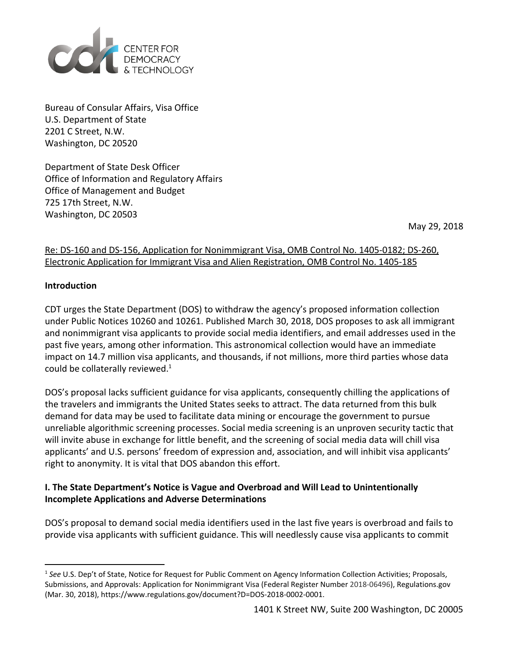

Bureau of Consular Affairs, Visa Office U.S. Department of State 2201 C Street, N.W. Washington, DC 20520

Department of State Desk Officer Office of Information and Regulatory Affairs Office of Management and Budget 725 17th Street, N.W. Washington, DC 20503

May 29, 2018

## Re: DS-160 and DS-156, Application for Nonimmigrant Visa, OMB Control No. 1405-0182; DS-260, Electronic Application for Immigrant Visa and Alien Registration, OMB Control No. 1405-185

#### **Introduction**

CDT urges the State Department (DOS) to withdraw the agency's proposed information collection under Public Notices 10260 and 10261. Published March 30, 2018, DOS proposes to ask all immigrant and nonimmigrant visa applicants to provide social media identifiers, and email addresses used in the past five years, among other information. This astronomical collection would have an immediate impact on 14.7 million visa applicants, and thousands, if not millions, more third parties whose data could be collaterally reviewed. $1$ 

DOS's proposal lacks sufficient guidance for visa applicants, consequently chilling the applications of the travelers and immigrants the United States seeks to attract. The data returned from this bulk demand for data may be used to facilitate data mining or encourage the government to pursue unreliable algorithmic screening processes. Social media screening is an unproven security tactic that will invite abuse in exchange for little benefit, and the screening of social media data will chill visa applicants' and U.S. persons' freedom of expression and, association, and will inhibit visa applicants' right to anonymity. It is vital that DOS abandon this effort.

## **I. The State Department's Notice is Vague and Overbroad and Will Lead to Unintentionally Incomplete Applications and Adverse Determinations**

DOS's proposal to demand social media identifiers used in the last five years is overbroad and fails to provide visa applicants with sufficient guidance. This will needlessly cause visa applicants to commit

<sup>1</sup> *See* U.S. Dep't of State, Notice for Request for Public Comment on Agency Information Collection Activities; Proposals, Submissions, and Approvals: Application for Nonimmigrant Visa (Federal Register Number 2018-06496), Regulations.gov (Mar. 30, 2018), https://www.regulations.gov/document?D=DOS-2018-0002-0001.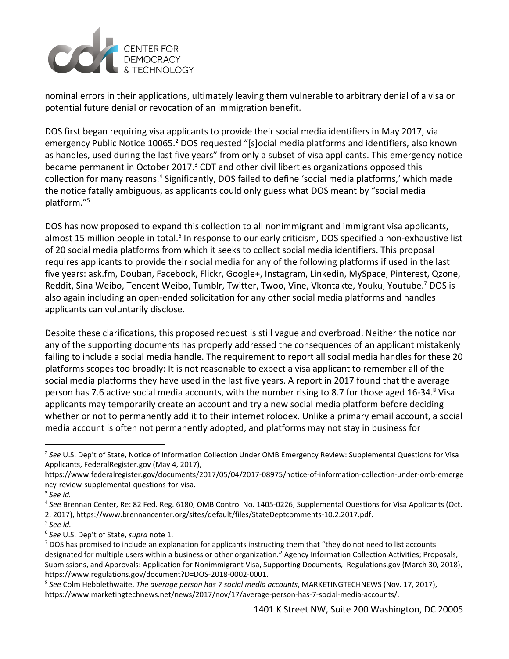

nominal errors in their applications, ultimately leaving them vulnerable to arbitrary denial of a visa or potential future denial or revocation of an immigration benefit.

DOS first began requiring visa applicants to provide their social media identifiers in May 2017, via emergency Public Notice 10065.<sup>2</sup> DOS requested "[s]ocial media platforms and identifiers, also known as handles, used during the last five years" from only a subset of visa applicants. This emergency notice became permanent in October 2017. $3$  CDT and other civil liberties organizations opposed this collection for many reasons.<sup>4</sup> Significantly, DOS failed to define 'social media platforms,' which made the notice fatally ambiguous, as applicants could only guess what DOS meant by "social media platform."<sup>5</sup>

DOS has now proposed to expand this collection to all nonimmigrant and immigrant visa applicants, almost 15 million people in total.<sup>6</sup> In response to our early criticism, DOS specified a non-exhaustive list of 20 social media platforms from which it seeks to collect social media identifiers. This proposal requires applicants to provide their social media for any of the following platforms if used in the last five years: ask.fm, Douban, Facebook, Flickr, Google+, Instagram, Linkedin, MySpace, Pinterest, Qzone, Reddit, Sina Weibo, Tencent Weibo, Tumblr, Twitter, Twoo, Vine, Vkontakte, Youku, Youtube.<sup>7</sup> DOS is also again including an open-ended solicitation for any other social media platforms and handles applicants can voluntarily disclose.

Despite these clarifications, this proposed request is still vague and overbroad. Neither the notice nor any of the supporting documents has properly addressed the consequences of an applicant mistakenly failing to include a social media handle. The requirement to report all social media handles for these 20 platforms scopes too broadly: It is not reasonable to expect a visa applicant to remember all of the social media platforms they have used in the last five years. A report in 2017 found that the average person has 7.6 active social media accounts, with the number rising to 8.7 for those aged 16-34.<sup>8</sup> Visa applicants may temporarily create an account and try a new social media platform before deciding whether or not to permanently add it to their internet rolodex. Unlike a primary email account, a social media account is often not permanently adopted, and platforms may not stay in business for

<sup>2</sup> *See* U.S. Dep't of State, Notice of Information Collection Under OMB Emergency Review: Supplemental Questions for Visa Applicants, FederalRegister.gov (May 4, 2017),

https://www.federalregister.gov/documents/2017/05/04/2017-08975/notice-of-information-collection-under-omb-emerge ncy-review-supplemental-questions-for-visa.

<sup>3</sup> *See id.*

<sup>4</sup> *See* Brennan Center, Re: 82 Fed. Reg. 6180, OMB Control No. 1405-0226; Supplemental Questions for Visa Applicants (Oct. 2, 2017), https://www.brennancenter.org/sites/default/files/StateDeptcomments-10.2.2017.pdf.

<sup>5</sup> *See id.*

<sup>6</sup> *See* U.S. Dep't of State, *supra* note 1.

 $7$  DOS has promised to include an explanation for applicants instructing them that "they do not need to list accounts designated for multiple users within a business or other organization." Agency Information Collection Activities; Proposals, Submissions, and Approvals: Application for Nonimmigrant Visa, Supporting Documents, Regulations.gov (March 30, 2018), https://www.regulations.gov/document?D=DOS-2018-0002-0001.

<sup>8</sup> *See* Colm Hebblethwaite, *The average person has 7 social media accounts*, MARKETINGTECHNEWS (Nov. 17, 2017), https://www.marketingtechnews.net/news/2017/nov/17/average-person-has-7-social-media-accounts/.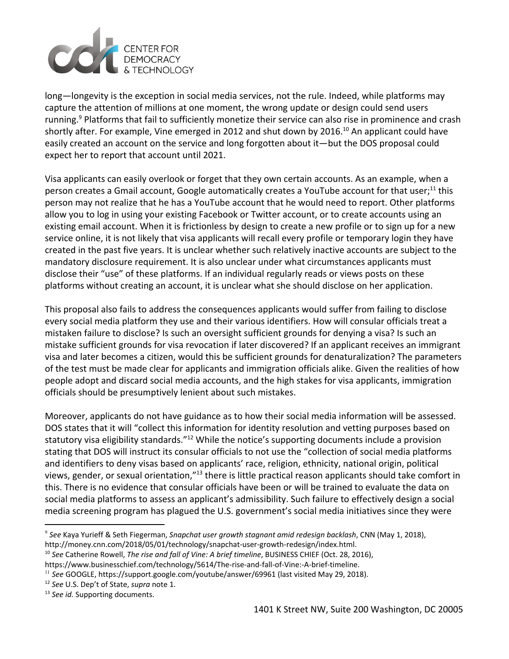

long—longevity is the exception in social media services, not the rule. Indeed, while platforms may capture the attention of millions at one moment, the wrong update or design could send users running.<sup>9</sup> Platforms that fail to sufficiently monetize their service can also rise in prominence and crash shortly after. For example, Vine emerged in 2012 and shut down by 2016.<sup>10</sup> An applicant could have easily created an account on the service and long forgotten about it—but the DOS proposal could expect her to report that account until 2021.

Visa applicants can easily overlook or forget that they own certain accounts. As an example, when a person creates a Gmail account, Google automatically creates a YouTube account for that user;<sup>11</sup> this person may not realize that he has a YouTube account that he would need to report. Other platforms allow you to log in using your existing Facebook or Twitter account, or to create accounts using an existing email account. When it is frictionless by design to create a new profile or to sign up for a new service online, it is not likely that visa applicants will recall every profile or temporary login they have created in the past five years. It is unclear whether such relatively inactive accounts are subject to the mandatory disclosure requirement. It is also unclear under what circumstances applicants must disclose their "use" of these platforms. If an individual regularly reads or views posts on these platforms without creating an account, it is unclear what she should disclose on her application.

This proposal also fails to address the consequences applicants would suffer from failing to disclose every social media platform they use and their various identifiers. How will consular officials treat a mistaken failure to disclose? Is such an oversight sufficient grounds for denying a visa? Is such an mistake sufficient grounds for visa revocation if later discovered? If an applicant receives an immigrant visa and later becomes a citizen, would this be sufficient grounds for denaturalization? The parameters of the test must be made clear for applicants and immigration officials alike. Given the realities of how people adopt and discard social media accounts, and the high stakes for visa applicants, immigration officials should be presumptively lenient about such mistakes.

Moreover, applicants do not have guidance as to how their social media information will be assessed. DOS states that it will "collect this information for identity resolution and vetting purposes based on statutory visa eligibility standards."<sup>12</sup> While the notice's supporting documents include a provision stating that DOS will instruct its consular officials to not use the "collection of social media platforms and identifiers to deny visas based on applicants' race, religion, ethnicity, national origin, political views, gender, or sexual orientation," $^{13}$  there is little practical reason applicants should take comfort in this. There is no evidence that consular officials have been or will be trained to evaluate the data on social media platforms to assess an applicant's admissibility. Such failure to effectively design a social media screening program has plagued the U.S. government's social media initiatives since they were

- <sup>10</sup> *See* Catherine Rowell, *The rise and fall of Vine: A brief timeline*, BUSINESS CHIEF (Oct. 28, 2016),
- https://www.businesschief.com/technology/5614/The-rise-and-fall-of-Vine:-A-brief-timeline.

<sup>9</sup> *See* Kaya Yurieff & Seth Fiegerman, *Snapchat user growth stagnant amid redesign backlash*, CNN (May 1, 2018), http://money.cnn.com/2018/05/01/technology/snapchat-user-growth-redesign/index.html.

<sup>11</sup> *See* GOOGLE, https://support.google.com/youtube/answer/69961 (last visited May 29, 2018).

<sup>12</sup> *See* U.S. Dep't of State, *supra* note 1.

<sup>13</sup> *See id.* Supporting documents.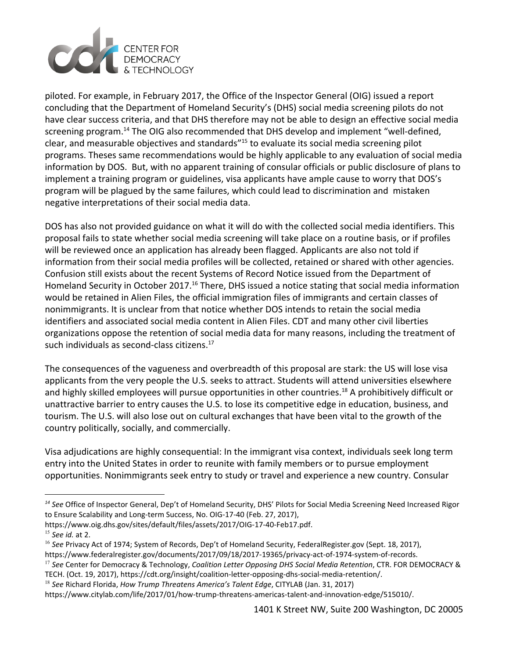

piloted. For example, in February 2017, the Office of the Inspector General (OIG) issued a report concluding that the Department of Homeland Security's (DHS) social media screening pilots do not have clear success criteria, and that DHS therefore may not be able to design an effective social media screening program.<sup>14</sup> The OIG also recommended that DHS develop and implement "well-defined, clear, and measurable objectives and standards<sup>"15</sup> to evaluate its social media screening pilot programs. Theses same recommendations would be highly applicable to any evaluation of social media information by DOS. But, with no apparent training of consular officials or public disclosure of plans to implement a training program or guidelines, visa applicants have ample cause to worry that DOS's program will be plagued by the same failures, which could lead to discrimination and mistaken negative interpretations of their social media data.

DOS has also not provided guidance on what it will do with the collected social media identifiers. This proposal fails to state whether social media screening will take place on a routine basis, or if profiles will be reviewed once an application has already been flagged. Applicants are also not told if information from their social media profiles will be collected, retained or shared with other agencies. Confusion still exists about the recent Systems of Record Notice issued from the Department of Homeland Security in October 2017.<sup>16</sup> There, DHS issued a notice stating that social media information would be retained in Alien Files, the official immigration files of immigrants and certain classes of nonimmigrants. It is unclear from that notice whether DOS intends to retain the social media identifiers and associated social media content in Alien Files. CDT and many other civil liberties organizations oppose the retention of social media data for many reasons, including the treatment of such individuals as second-class citizens.<sup>17</sup>

The consequences of the vagueness and overbreadth of this proposal are stark: the US will lose visa applicants from the very people the U.S. seeks to attract. Students will attend universities elsewhere and highly skilled employees will pursue opportunities in other countries.<sup>18</sup> A prohibitively difficult or unattractive barrier to entry causes the U.S. to lose its competitive edge in education, business, and tourism. The U.S. will also lose out on cultural exchanges that have been vital to the growth of the country politically, socially, and commercially.

Visa adjudications are highly consequential: In the immigrant visa context, individuals seek long term entry into the United States in order to reunite with family members or to pursue employment opportunities. Nonimmigrants seek entry to study or travel and experience a new country. Consular

https://www.oig.dhs.gov/sites/default/files/assets/2017/OIG-17-40-Feb17.pdf.

*<sup>14</sup> See* Office of Inspector General, Dep't of Homeland Security, DHS' Pilots for Social Media Screening Need Increased Rigor to Ensure Scalability and Long-term Success, No. OIG-17-40 (Feb. 27, 2017),

<sup>15</sup> *See id.* at 2.

<sup>&</sup>lt;sup>16</sup> See Privacy Act of 1974; System of Records, Dep't of Homeland Security, FederalRegister.gov (Sept. 18, 2017), https://www.federalregister.gov/documents/2017/09/18/2017-19365/privacy-act-of-1974-system-of-records.

<sup>17</sup> *See* Center for Democracy & Technology, *Coalition Letter Opposing DHS Social Media Retention*, CTR. FOR DEMOCRACY & TECH. (Oct. 19, 2017), https://cdt.org/insight/coalition-letter-opposing-dhs-social-media-retention/.

<sup>18</sup> *See* Richard Florida, *How Trump Threatens America's Talent Edge*, CITYLAB (Jan. 31, 2017)

https://www.citylab.com/life/2017/01/how-trump-threatens-americas-talent-and-innovation-edge/515010/.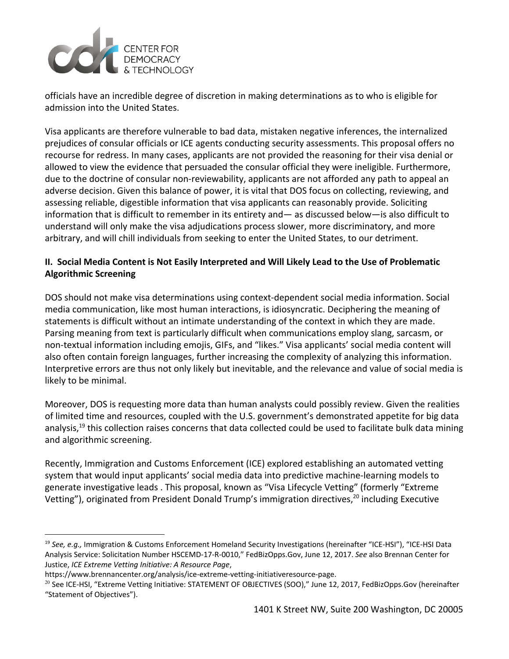

officials have an incredible degree of discretion in making determinations as to who is eligible for admission into the United States.

Visa applicants are therefore vulnerable to bad data, mistaken negative inferences, the internalized prejudices of consular officials or ICE agents conducting security assessments. This proposal offers no recourse for redress. In many cases, applicants are not provided the reasoning for their visa denial or allowed to view the evidence that persuaded the consular official they were ineligible. Furthermore, due to the doctrine of consular non-reviewability, applicants are not afforded any path to appeal an adverse decision. Given this balance of power, it is vital that DOS focus on collecting, reviewing, and assessing reliable, digestible information that visa applicants can reasonably provide. Soliciting information that is difficult to remember in its entirety and— as discussed below—is also difficult to understand will only make the visa adjudications process slower, more discriminatory, and more arbitrary, and will chill individuals from seeking to enter the United States, to our detriment.

## **II. Social Media Content is Not Easily Interpreted and Will Likely Lead to the Use of Problematic Algorithmic Screening**

DOS should not make visa determinations using context-dependent social media information. Social media communication, like most human interactions, is idiosyncratic. Deciphering the meaning of statements is difficult without an intimate understanding of the context in which they are made. Parsing meaning from text is particularly difficult when communications employ slang, sarcasm, or non-textual information including emojis, GIFs, and "likes." Visa applicants' social media content will also often contain foreign languages, further increasing the complexity of analyzing this information. Interpretive errors are thus not only likely but inevitable, and the relevance and value of social media is likely to be minimal.

Moreover, DOS is requesting more data than human analysts could possibly review. Given the realities of limited time and resources, coupled with the U.S. government's demonstrated appetite for big data analysis,  $19$  this collection raises concerns that data collected could be used to facilitate bulk data mining and algorithmic screening.

Recently, Immigration and Customs Enforcement (ICE) explored establishing an automated vetting system that would input applicants' social media data into predictive machine-learning models to generate investigative leads . This proposal, known as "Visa Lifecycle Vetting" (formerly "Extreme Vetting"), originated from President Donald Trump's immigration directives,  $20$  including Executive

<sup>19</sup> *See, e.g.,* Immigration & Customs Enforcement Homeland Security Investigations (hereinafter "ICE-HSI"), "ICE-HSI Data Analysis Service: Solicitation Number HSCEMD-17-R-0010," FedBizOpps.Gov, June 12, 2017. *See* also Brennan Center for Justice, *ICE Extreme Vetting Initiative: A Resource Page*,

https://www.brennancenter.org/analysis/ice-extreme-vetting-initiativeresource-page.

 $20$  See ICE-HSI, "Extreme Vetting Initiative: STATEMENT OF OBJECTIVES (SOO)," June 12, 2017, FedBizOpps.Gov (hereinafter "Statement of Objectives").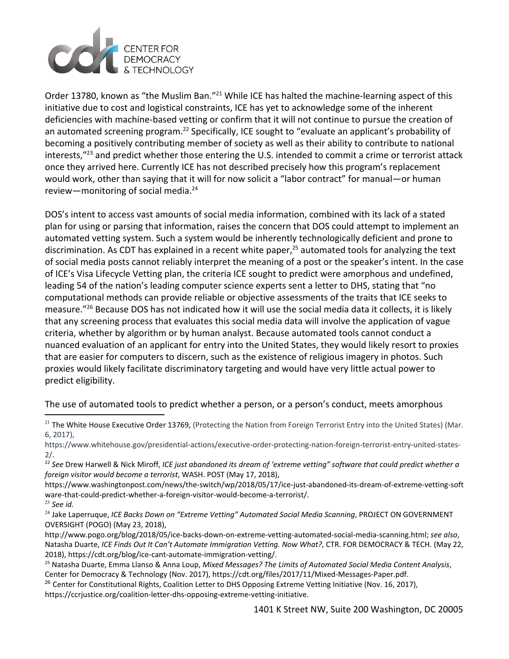

Order 13780, known as "the Muslim Ban."<sup>21</sup> While ICE has halted the machine-learning aspect of this initiative due to cost and logistical constraints, ICE has yet to acknowledge some of the inherent deficiencies with machine-based vetting or confirm that it will not continue to pursue the creation of an automated screening program.<sup>22</sup> Specifically, ICE sought to "evaluate an applicant's probability of becoming a positively contributing member of society as well as their ability to contribute to national interests,"<sup>23</sup> and predict whether those entering the U.S. intended to commit a crime or terrorist attack once they arrived here. Currently ICE has not described precisely how this program's replacement would work, other than saying that it will for now solicit a "labor contract" for manual—or human review—monitoring of social media.<sup>24</sup>

DOS's intent to access vast amounts of social media information, combined with its lack of a stated plan for using or parsing that information, raises the concern that DOS could attempt to implement an automated vetting system. Such a system would be inherently technologically deficient and prone to discrimination. As CDT has explained in a recent white paper, $25$  automated tools for analyzing the text of social media posts cannot reliably interpret the meaning of a post or the speaker's intent. In the case of ICE's Visa Lifecycle Vetting plan, the criteria ICE sought to predict were amorphous and undefined, leading 54 of the nation's leading computer science experts sent a letter to DHS, stating that "no computational methods can provide reliable or objective assessments of the traits that ICE seeks to measure."<sup>26</sup> Because DOS has not indicated how it will use the social media data it collects, it is likely that any screening process that evaluates this social media data will involve the application of vague criteria, whether by algorithm or by human analyst. Because automated tools cannot conduct a nuanced evaluation of an applicant for entry into the United States, they would likely resort to proxies that are easier for computers to discern, such as the existence of religious imagery in photos. Such proxies would likely facilitate discriminatory targeting and would have very little actual power to predict eligibility.

#### The use of automated tools to predict whether a person, or a person's conduct, meets amorphous

https://www.washingtonpost.com/news/the-switch/wp/2018/05/17/ice-just-abandoned-its-dream-of-extreme-vetting-soft ware-that-could-predict-whether-a-foreign-visitor-would-become-a-terrorist/.

<sup>23</sup> *See id.*

http://www.pogo.org/blog/2018/05/ice-backs-down-on-extreme-vetting-automated-social-media-scanning.html; *see also*, Natasha Duarte, *ICE Finds Out It Can't Automate Immigration Vetting. Now What?*, CTR. FOR DEMOCRACY & TECH. (May 22, 2018), https://cdt.org/blog/ice-cant-automate-immigration-vetting/.

 $^{26}$  Center for Constitutional Rights, Coalition Letter to DHS Opposing Extreme Vetting Initiative (Nov. 16, 2017), https://ccrjustice.org/coalition-letter-dhs-opposing-extreme-vetting-initiative.

1401 K Street NW, Suite 200 Washington, DC 20005

<sup>&</sup>lt;sup>21</sup> The White House Executive Order 13769, (Protecting the Nation from Foreign Terrorist Entry into the United States) (Mar. 6, 2017),

https://www.whitehouse.gov/presidential-actions/executive-order-protecting-nation-foreign-terrorist-entry-united-states-2/.

<sup>&</sup>lt;sup>22</sup> See Drew Harwell & Nick Miroff, ICE just abandoned its dream of 'extreme vetting" software that could predict whether a *foreign visitor would become a terrorist*, WASH. POST (May 17, 2018),

<sup>24</sup> Jake Laperruque, *ICE Backs Down on "Extreme Vetting" Automated Social Media Scanning*, PROJECT ON GOVERNMENT OVERSIGHT (POGO) (May 23, 2018),

<sup>25</sup> Natasha Duarte, Emma Llanso & Anna Loup, *Mixed Messages? The Limits of Automated Social Media Content Analysis*, Center for Democracy & Technology (Nov. 2017), https://cdt.org/files/2017/11/Mixed-Messages-Paper.pdf.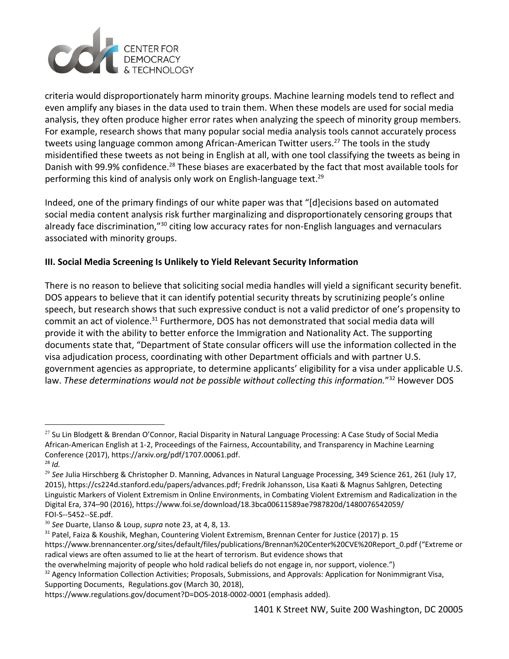

criteria would disproportionately harm minority groups. Machine learning models tend to reflect and even amplify any biases in the data used to train them. When these models are used for social media analysis, they often produce higher error rates when analyzing the speech of minority group members. For example, research shows that many popular social media analysis tools cannot accurately process tweets using language common among African-American Twitter users.<sup>27</sup> The tools in the study misidentified these tweets as not being in English at all, with one tool classifying the tweets as being in Danish with 99.9% confidence.<sup>28</sup> These biases are exacerbated by the fact that most available tools for performing this kind of analysis only work on English-language text.<sup>29</sup>

Indeed, one of the primary findings of our white paper was that "[d]ecisions based on automated social media content analysis risk further marginalizing and disproportionately censoring groups that already face discrimination,"<sup>30</sup> citing low accuracy rates for non-English languages and vernaculars associated with minority groups.

## **III. Social Media Screening Is Unlikely to Yield Relevant Security Information**

There is no reason to believe that soliciting social media handles will yield a significant security benefit. DOS appears to believe that it can identify potential security threats by scrutinizing people's online speech, but research shows that such expressive conduct is not a valid predictor of one's propensity to commit an act of violence.<sup>31</sup> Furthermore, DOS has not demonstrated that social media data will provide it with the ability to better enforce the Immigration and Nationality Act. The supporting documents state that, "Department of State consular officers will use the information collected in the visa adjudication process, coordinating with other Department officials and with partner U.S. government agencies as appropriate, to determine applicants' eligibility for a visa under applicable U.S. law. *These determinations would not be possible without collecting this information.*"<sup>32</sup> However DOS

 $27$  Su Lin Blodgett & Brendan O'Connor, Racial Disparity in Natural Language Processing: A Case Study of Social Media African-American English at 1-2, Proceedings of the Fairness, Accountability, and Transparency in Machine Learning Conference (2017), https://arxiv.org/pdf/1707.00061.pdf.

<sup>28</sup> *Id.*

<sup>29</sup> *See* Julia Hirschberg & Christopher D. Manning, Advances in Natural Language Processing, 349 Science 261, 261 (July 17, 2015), https://cs224d.stanford.edu/papers/advances.pdf; Fredrik Johansson, Lisa Kaati & Magnus Sahlgren, Detecting Linguistic Markers of Violent Extremism in Online Environments, in Combating Violent Extremism and Radicalization in the Digital Era, 374–90 (2016), https://www.foi.se/download/18.3bca00611589ae7987820d/1480076542059/ FOI-S--5452--SE.pdf.

<sup>30</sup> *See* Duarte, Llanso & Loup, *supra* note 23, at 4, 8, 13.

<sup>&</sup>lt;sup>31</sup> Patel, Faiza & Koushik, Meghan, Countering Violent Extremism, Brennan Center for Justice (2017) p. 15 https://www.brennancenter.org/sites/default/files/publications/Brennan%20Center%20CVE%20Report\_0.pdf ("Extreme or radical views are often assumed to lie at the heart of terrorism. But evidence shows that

the overwhelming majority of people who hold radical beliefs do not engage in, nor support, violence.")

<sup>&</sup>lt;sup>32</sup> Agency Information Collection Activities; Proposals, Submissions, and Approvals: Application for Nonimmigrant Visa, Supporting Documents, Regulations.gov (March 30, 2018),

https://www.regulations.gov/document?D=DOS-2018-0002-0001 (emphasis added).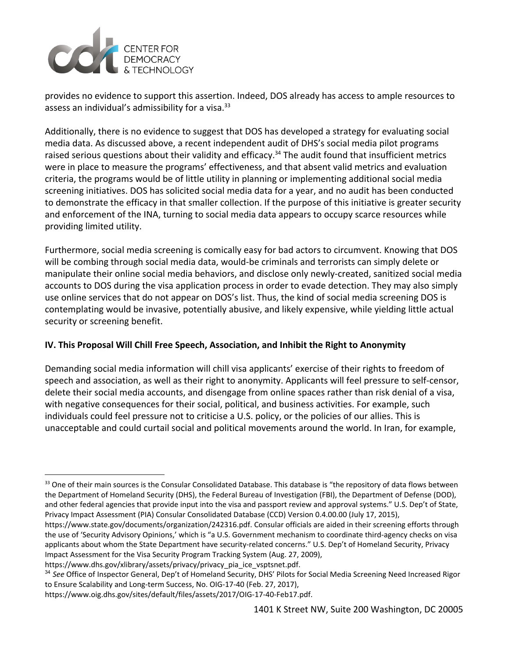

provides no evidence to support this assertion. Indeed, DOS already has access to ample resources to assess an individual's admissibility for a visa.<sup>33</sup>

Additionally, there is no evidence to suggest that DOS has developed a strategy for evaluating social media data. As discussed above, a recent independent audit of DHS's social media pilot programs raised serious questions about their validity and efficacy.<sup>34</sup> The audit found that insufficient metrics were in place to measure the programs' effectiveness, and that absent valid metrics and evaluation criteria, the programs would be of little utility in planning or implementing additional social media screening initiatives. DOS has solicited social media data for a year, and no audit has been conducted to demonstrate the efficacy in that smaller collection. If the purpose of this initiative is greater security and enforcement of the INA, turning to social media data appears to occupy scarce resources while providing limited utility.

Furthermore, social media screening is comically easy for bad actors to circumvent. Knowing that DOS will be combing through social media data, would-be criminals and terrorists can simply delete or manipulate their online social media behaviors, and disclose only newly-created, sanitized social media accounts to DOS during the visa application process in order to evade detection. They may also simply use online services that do not appear on DOS's list. Thus, the kind of social media screening DOS is contemplating would be invasive, potentially abusive, and likely expensive, while yielding little actual security or screening benefit.

# **IV. This Proposal Will Chill Free Speech, Association, and Inhibit the Right to Anonymity**

Demanding social media information will chill visa applicants' exercise of their rights to freedom of speech and association, as well as their right to anonymity. Applicants will feel pressure to self-censor, delete their social media accounts, and disengage from online spaces rather than risk denial of a visa, with negative consequences for their social, political, and business activities. For example, such individuals could feel pressure not to criticise a U.S. policy, or the policies of our allies. This is unacceptable and could curtail social and political movements around the world. In Iran, for example,

<sup>&</sup>lt;sup>33</sup> One of their main sources is the Consular Consolidated Database. This database is "the repository of data flows between the Department of Homeland Security (DHS), the Federal Bureau of Investigation (FBI), the Department of Defense (DOD), and other federal agencies that provide input into the visa and passport review and approval systems." U.S. Dep't of State, Privacy Impact Assessment (PIA) Consular Consolidated Database (CCD) Version 0.4.00.00 (July 17, 2015),

https://www.state.gov/documents/organization/242316.pdf. Consular officials are aided in their screening efforts through the use of 'Security Advisory Opinions,' which is "a U.S. Government mechanism to coordinate third-agency checks on visa applicants about whom the State Department have security-related concerns." U.S. Dep't of Homeland Security, Privacy Impact Assessment for the Visa Security Program Tracking System (Aug. 27, 2009),

https://www.dhs.gov/xlibrary/assets/privacy/privacy\_pia\_ice\_vsptsnet.pdf.

<sup>34</sup> *See* Office of Inspector General, Dep't of Homeland Security, DHS' Pilots for Social Media Screening Need Increased Rigor to Ensure Scalability and Long-term Success, No. OIG-17-40 (Feb. 27, 2017),

https://www.oig.dhs.gov/sites/default/files/assets/2017/OIG-17-40-Feb17.pdf.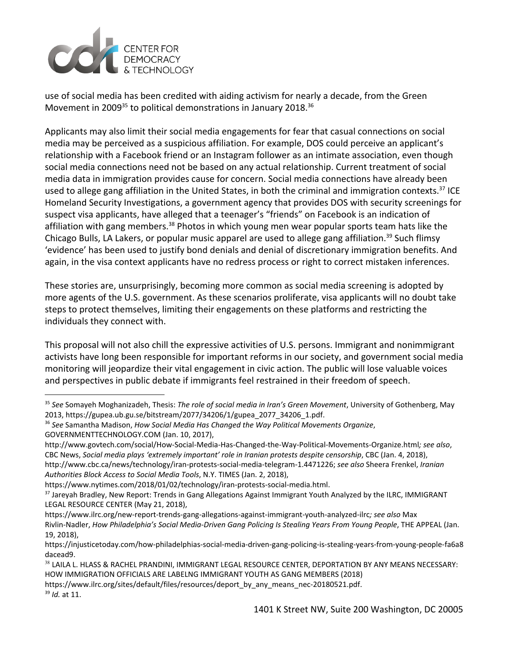

use of social media has been credited with aiding activism for nearly a decade, from the Green Movement in 2009 $^{35}$  to political demonstrations in January 2018. $^{36}$ 

Applicants may also limit their social media engagements for fear that casual connections on social media may be perceived as a suspicious affiliation. For example, DOS could perceive an applicant's relationship with a Facebook friend or an Instagram follower as an intimate association, even though social media connections need not be based on any actual relationship. Current treatment of social media data in immigration provides cause for concern. Social media connections have already been used to allege gang affiliation in the United States, in both the criminal and immigration contexts.<sup>37</sup> ICE Homeland Security Investigations, a government agency that provides DOS with security screenings for suspect visa applicants, have alleged that a teenager's "friends" on Facebook is an indication of affiliation with gang members.<sup>38</sup> Photos in which young men wear popular sports team hats like the Chicago Bulls, LA Lakers, or popular music apparel are used to allege gang affiliation.<sup>39</sup> Such flimsy 'evidence' has been used to justify bond denials and denial of discretionary immigration benefits. And again, in the visa context applicants have no redress process or right to correct mistaken inferences.

These stories are, unsurprisingly, becoming more common as social media screening is adopted by more agents of the U.S. government. As these scenarios proliferate, visa applicants will no doubt take steps to protect themselves, limiting their engagements on these platforms and restricting the individuals they connect with.

This proposal will not also chill the expressive activities of U.S. persons. Immigrant and nonimmigrant activists have long been responsible for important reforms in our society, and government social media monitoring will jeopardize their vital engagement in civic action. The public will lose valuable voices and perspectives in public debate if immigrants feel restrained in their freedom of speech.

<sup>35</sup> *See* Somayeh Moghanizadeh, Thesis: *The role of social media in Iran's Green Movement*, University of Gothenberg, May 2013, https://gupea.ub.gu.se/bitstream/2077/34206/1/gupea\_2077\_34206\_1.pdf.

<sup>36</sup> *See* Samantha Madison, *How Social Media Has Changed the Way Political Movements Organize*, GOVERNMENTTECHNOLOGY.COM (Jan. 10, 2017),

http://www.govtech.com/social/How-Social-Media-Has-Changed-the-Way-Political-Movements-Organize.html*; see also*, CBC News, *Social media plays 'extremely important' role in Iranian protests despite censorship*, CBC (Jan. 4, 2018), http://www.cbc.ca/news/technology/iran-protests-social-media-telegram-1.4471226; *see also* Sheera Frenkel, *Iranian Authorities Block Access to Social Media Tools*, N.Y. TIMES (Jan. 2, 2018),

https://www.nytimes.com/2018/01/02/technology/iran-protests-social-media.html.

<sup>&</sup>lt;sup>37</sup> Jareyah Bradley, New Report: Trends in Gang Allegations Against Immigrant Youth Analyzed by the ILRC, IMMIGRANT LEGAL RESOURCE CENTER (May 21, 2018),

https://www.ilrc.org/new-report-trends-gang-allegations-against-immigrant-youth-analyzed-ilrc*; see also* Max Rivlin-Nadler, *How Philadelphia's Social Media-Driven Gang Policing Is Stealing Years From Young People*, THE APPEAL (Jan. 19, 2018),

https://injusticetoday.com/how-philadelphias-social-media-driven-gang-policing-is-stealing-years-from-young-people-fa6a8 dacead9.

<sup>&</sup>lt;sup>38</sup> LAILA L. HLASS & RACHEL PRANDINI, IMMIGRANT LEGAL RESOURCE CENTER, DEPORTATION BY ANY MEANS NECESSARY: HOW IMMIGRATION OFFICIALS ARE LABELNG IMMIGRANT YOUTH AS GANG MEMBERS (2018)

https://www.ilrc.org/sites/default/files/resources/deport\_by\_any\_means\_nec-20180521.pdf.

<sup>39</sup> *Id.* at 11.